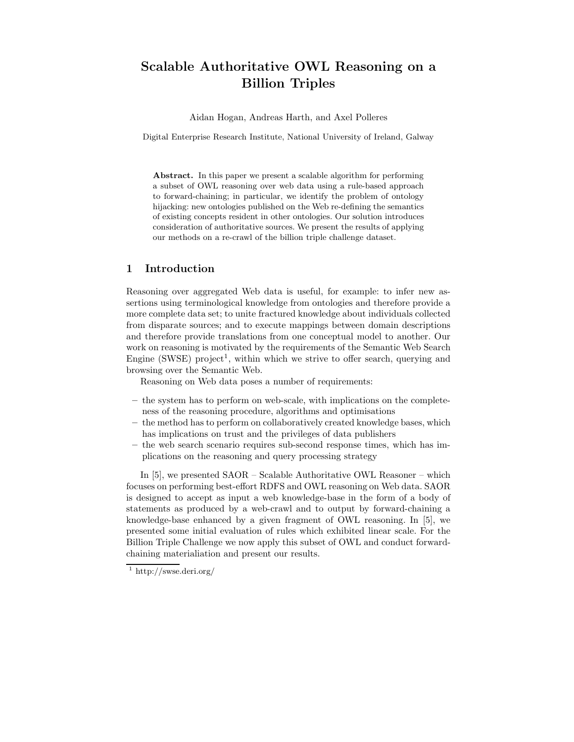# Scalable Authoritative OWL Reasoning on a Billion Triples

Aidan Hogan, Andreas Harth, and Axel Polleres

Digital Enterprise Research Institute, National University of Ireland, Galway

Abstract. In this paper we present a scalable algorithm for performing a subset of OWL reasoning over web data using a rule-based approach to forward-chaining; in particular, we identify the problem of ontology hijacking: new ontologies published on the Web re-defining the semantics of existing concepts resident in other ontologies. Our solution introduces consideration of authoritative sources. We present the results of applying our methods on a re-crawl of the billion triple challenge dataset.

### 1 Introduction

Reasoning over aggregated Web data is useful, for example: to infer new assertions using terminological knowledge from ontologies and therefore provide a more complete data set; to unite fractured knowledge about individuals collected from disparate sources; and to execute mappings between domain descriptions and therefore provide translations from one conceptual model to another. Our work on reasoning is motivated by the requirements of the Semantic Web Search Engine (SWSE) project<sup>1</sup>, within which we strive to offer search, querying and browsing over the Semantic Web.

Reasoning on Web data poses a number of requirements:

- the system has to perform on web-scale, with implications on the completeness of the reasoning procedure, algorithms and optimisations
- the method has to perform on collaboratively created knowledge bases, which has implications on trust and the privileges of data publishers
- the web search scenario requires sub-second response times, which has implications on the reasoning and query processing strategy

In [5], we presented SAOR – Scalable Authoritative OWL Reasoner – which focuses on performing best-effort RDFS and OWL reasoning on Web data. SAOR is designed to accept as input a web knowledge-base in the form of a body of statements as produced by a web-crawl and to output by forward-chaining a knowledge-base enhanced by a given fragment of OWL reasoning. In [5], we presented some initial evaluation of rules which exhibited linear scale. For the Billion Triple Challenge we now apply this subset of OWL and conduct forwardchaining materialiation and present our results.

<sup>1</sup> http://swse.deri.org/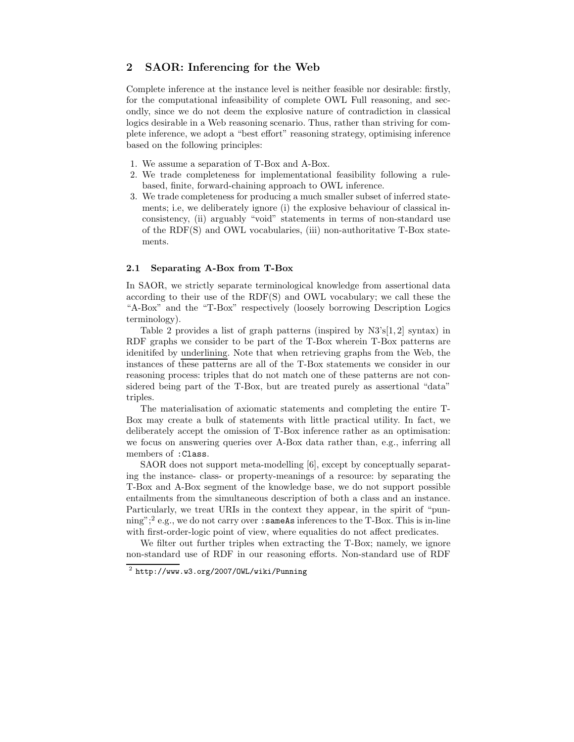### 2 SAOR: Inferencing for the Web

Complete inference at the instance level is neither feasible nor desirable: firstly, for the computational infeasibility of complete OWL Full reasoning, and secondly, since we do not deem the explosive nature of contradiction in classical logics desirable in a Web reasoning scenario. Thus, rather than striving for complete inference, we adopt a "best effort" reasoning strategy, optimising inference based on the following principles:

- 1. We assume a separation of T-Box and A-Box.
- 2. We trade completeness for implementational feasibility following a rulebased, finite, forward-chaining approach to OWL inference.
- 3. We trade completeness for producing a much smaller subset of inferred statements; i.e, we deliberately ignore (i) the explosive behaviour of classical inconsistency, (ii) arguably "void" statements in terms of non-standard use of the RDF(S) and OWL vocabularies, (iii) non-authoritative T-Box statements.

### 2.1 Separating A-Box from T-Box

In SAOR, we strictly separate terminological knowledge from assertional data according to their use of the RDF(S) and OWL vocabulary; we call these the "A-Box" and the "T-Box" respectively (loosely borrowing Description Logics terminology).

Table 2 provides a list of graph patterns (inspired by  $N3\text{'s}[1,2]$  syntax) in RDF graphs we consider to be part of the T-Box wherein T-Box patterns are idenitifed by underlining. Note that when retrieving graphs from the Web, the instances of these patterns are all of the T-Box statements we consider in our reasoning process: triples that do not match one of these patterns are not considered being part of the T-Box, but are treated purely as assertional "data" triples.

The materialisation of axiomatic statements and completing the entire T-Box may create a bulk of statements with little practical utility. In fact, we deliberately accept the omission of T-Box inference rather as an optimisation: we focus on answering queries over A-Box data rather than, e.g., inferring all members of :Class.

SAOR does not support meta-modelling [6], except by conceptually separating the instance- class- or property-meanings of a resource: by separating the T-Box and A-Box segment of the knowledge base, we do not support possible entailments from the simultaneous description of both a class and an instance. Particularly, we treat URIs in the context they appear, in the spirit of "punning";<sup>2</sup> e.g., we do not carry over :sameAs inferences to the T-Box. This is in-line with first-order-logic point of view, where equalities do not affect predicates.

We filter out further triples when extracting the T-Box; namely, we ignore non-standard use of RDF in our reasoning efforts. Non-standard use of RDF

 $^2$  http://www.w3.org/2007/OWL/wiki/Punning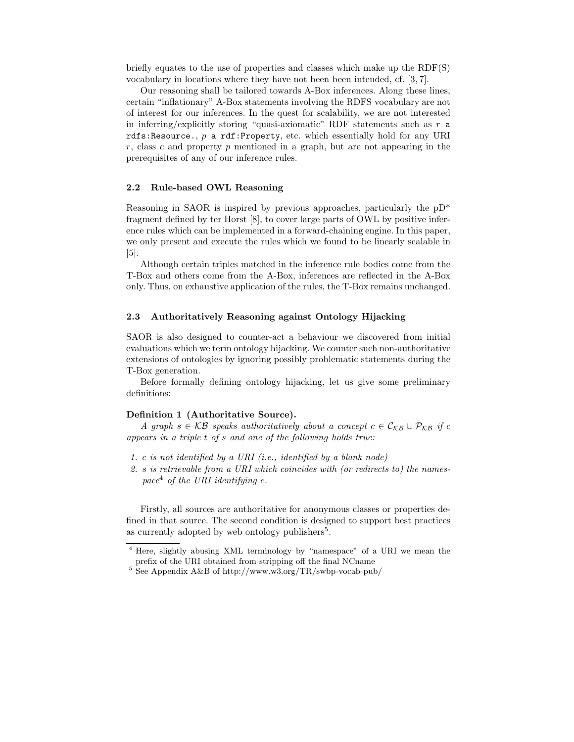briefly equates to the use of properties and classes which make up the RDF(S) vocabulary in locations where they have not been been intended, cf. [3, 7].

Our reasoning shall be tailored towards A-Box inferences. Along these lines, certain "inflationary" A-Box statements involving the RDFS vocabulary are not of interest for our inferences. In the quest for scalability, we are not interested in inferring/explicitly storing "quasi-axiomatic" RDF statements such as  $r$  a rdfs: Resource.,  $p$  a rdf: Property, etc. which essentially hold for any URI  $r$ , class c and property  $p$  mentioned in a graph, but are not appearing in the prerequisites of any of our inference rules.

#### 2.2 Rule-based OWL Reasoning

Reasoning in SAOR is inspired by previous approaches, particularly the pD\* fragment defined by ter Horst [8], to cover large parts of OWL by positive inference rules which can be implemented in a forward-chaining engine. In this paper, we only present and execute the rules which we found to be linearly scalable in [5].

Although certain triples matched in the inference rule bodies come from the T-Box and others come from the A-Box, inferences are reflected in the A-Box only. Thus, on exhaustive application of the rules, the T-Box remains unchanged.

#### 2.3 Authoritatively Reasoning against Ontology Hijacking

SAOR is also designed to counter-act a behaviour we discovered from initial evaluations which we term ontology hijacking. We counter such non-authoritative extensions of ontologies by ignoring possibly problematic statements during the T-Box generation.

Before formally defining ontology hijacking, let us give some preliminary definitions:

#### Definition 1 (Authoritative Source).

A graph  $s \in \mathcal{KB}$  speaks authoritatively about a concept  $c \in \mathcal{C}_{\mathcal{KB}} \cup \mathcal{P}_{\mathcal{KB}}$  if c appears in a triple t of s and one of the following holds true:

- 1. c is not identified by a URI (i.e., identified by a blank node)
- 2. s is retrievable from a URI which coincides with (or redirects to) the namespace<sup>4</sup> of the URI identifying c.

Firstly, all sources are authoritative for anonymous classes or properties defined in that source. The second condition is designed to support best practices as currently adopted by web ontology publishers<sup>5</sup>.

<sup>4</sup> Here, slightly abusing XML terminology by "namespace" of a URI we mean the prefix of the URI obtained from stripping off the final NCname

 $^5$  See Appendix A&B of http://www.w3.org/TR/swbp-vocab-pub/  $\,$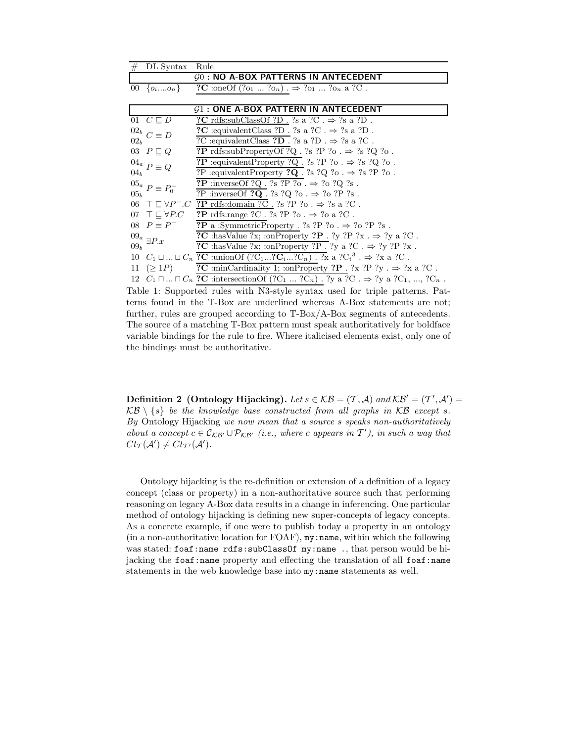| #                                      | DL Syntax                       | Rule                                                                                                             |  |  |
|----------------------------------------|---------------------------------|------------------------------------------------------------------------------------------------------------------|--|--|
|                                        |                                 | $G0$ : NO A-BOX PATTERNS IN ANTECEDENT                                                                           |  |  |
|                                        | 00 $\{o_1,o_n\}$                | ?C :oneOf $(2o_1  2o_n) \rightarrow 2o_1  2o_n$ a 2C.                                                            |  |  |
|                                        |                                 |                                                                                                                  |  |  |
| $G1$ : ONE A-BOX PATTERN IN ANTECEDENT |                                 |                                                                                                                  |  |  |
|                                        | 01 $C \sqsubset D$              | ?C rdfs:subClassOf ?D. ?s a ?C. $\Rightarrow$ ?s a ?D.                                                           |  |  |
|                                        | $^{02_b}$ $C \equiv D$          | ?C :equivalent Class ?D . ?s a ?C . $\Rightarrow$ ?s a ?D .                                                      |  |  |
| 02 <sub>b</sub>                        |                                 | ?C :<br>equivalent<br>Class ${\bf ?D}$ . ?s a ?D .<br>$\Rightarrow$ ?s a ?C .                                    |  |  |
|                                        | 03 $P \sqsubseteq Q$            | <b>?P</b> rdfs:subPropertyOf ?Q. ?s ?P ?o. $\Rightarrow$ ?s ?Q ?o.                                               |  |  |
|                                        | $^{04a}$ $P \equiv Q$           | <b>?P</b> :equivalentProperty ?Q. ?s ?P ?o. $\Rightarrow$ ?s ?Q ?o.                                              |  |  |
| 04 <sub>b</sub>                        |                                 | ?<br>P :equivalent<br>Property $\texttt{?Q}$ . ?s ?Q ?o . $\Rightarrow$ ?s ?P ?o .                               |  |  |
|                                        | $^{05a} P \equiv P_0^-$         | <b>?P</b> :inverseOf ?Q. ?s ?P ?o. $\Rightarrow$ ?o ?Q ?s.                                                       |  |  |
| 05 <sub>b</sub>                        |                                 | ?P :inverseOf ?Q . ?s ?Q ?o . $\Rightarrow$ ?o ?P ?s .                                                           |  |  |
|                                        |                                 | 06 $\top \sqsubseteq \forall P^- . C$ ?P rdfs:domain ?C . ?s ?P ?o . $\Rightarrow$ ?s a ?C.                      |  |  |
|                                        | 07 $\top \sqsubset \forall P.C$ | <b>?P</b> rdfs:range ?C . ?s ?P ?o . $\Rightarrow$ ?o a ?C .                                                     |  |  |
|                                        | 08 $P \equiv P^-$               | <b>?P</b> a :SymmetricProperty . ?s ?P ?o . $\Rightarrow$ ?o ?P ?s .                                             |  |  |
|                                        | $^{09_a}$ $\exists P.x$         | ?C :hasValue ?x; :onProperty ?P . ?y ?P ?x . $\Rightarrow$ ?y a ?C.                                              |  |  |
| 09 <sub>b</sub>                        |                                 | <b>?C</b> :hasValue ?x; :onProperty ?P . ?y a ?C . $\Rightarrow$ ?y ?P ?x .                                      |  |  |
|                                        |                                 | 10 $C_1 \sqcup  \sqcup C_n$ ?C :unionOf $(?C_1?C_i?C_n)$ . ?x a ? $C_i^3$ . $\Rightarrow$ ?x a ?C.               |  |  |
|                                        | 11 $(>1P)$                      | ?C :minCardinality 1; :onProperty ?P . ?x ?P ?y . $\Rightarrow$ ?x a ?C .                                        |  |  |
|                                        |                                 | 12 $C_1 \sqcap  \sqcap C_n$ ?C : intersection Of $(2C_1  2C_n)$ . $2y \in C \Rightarrow 2y \in C_1$ , , $2C_n$ . |  |  |
|                                        |                                 |                                                                                                                  |  |  |

Table 1: Supported rules with N3-style syntax used for triple patterns. Patterns found in the T-Box are underlined whereas A-Box statements are not; further, rules are grouped according to T-Box/A-Box segments of antecedents. The source of a matching T-Box pattern must speak authoritatively for boldface variable bindings for the rule to fire. Where italicised elements exist, only one of the bindings must be authoritative.

**Definition 2 (Ontology Hijacking).** Let  $s \in \mathcal{KB} = (\mathcal{T}, \mathcal{A})$  and  $\mathcal{KB}' = (\mathcal{T}', \mathcal{A}')$  $\mathcal{KB}\setminus\{s\}$  be the knowledge base constructed from all graphs in  $\mathcal{KB}$  except s. By Ontology Hijacking we now mean that a source s speaks non-authoritatively about a concept  $c \in \mathcal{C}_{\mathcal{KB'}} \cup \mathcal{P}_{\mathcal{KB'}}$  (i.e., where c appears in  $\mathcal{T}'$ ), in such a way that  $Cl_{\mathcal{T}}(\mathcal{A}') \neq Cl_{\mathcal{T}'}(\mathcal{A}')$ .

Ontology hijacking is the re-definition or extension of a definition of a legacy concept (class or property) in a non-authoritative source such that performing reasoning on legacy A-Box data results in a change in inferencing. One particular method of ontology hijacking is defining new super-concepts of legacy concepts. As a concrete example, if one were to publish today a property in an ontology (in a non-authoritative location for FOAF),  $my:name$ , within which the following was stated: foaf:name rdfs:subClassOf my:name ., that person would be hijacking the foaf:name property and effecting the translation of all foaf:name statements in the web knowledge base into  $my$ : name statements as well.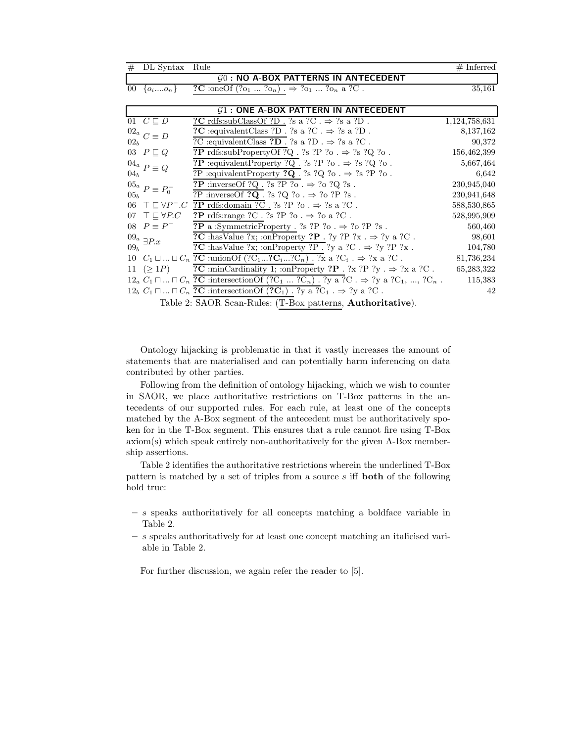| #                                                          | DL Syntax                          | Rule                                                                                                              | $#$ Inferred  |  |
|------------------------------------------------------------|------------------------------------|-------------------------------------------------------------------------------------------------------------------|---------------|--|
| $G0$ : NO A-BOX PATTERNS IN ANTECEDENT                     |                                    |                                                                                                                   |               |  |
|                                                            | 00 $\{o_i,o_n\}$                   | ?C :oneOf $(2o_1  2o_n) \rightarrow 2o_1  2o_n$ a ?C.                                                             | 35,161        |  |
|                                                            |                                    |                                                                                                                   |               |  |
| $G1$ : ONE A-BOX PATTERN IN ANTECEDENT                     |                                    |                                                                                                                   |               |  |
|                                                            | $\overline{01}$ $C \sqsubseteq D$  | ?C rdfs:subClassOf ?D . ?s a ?C . $\Rightarrow$ ?s a ?D .                                                         | 1,124,758,631 |  |
|                                                            | $^{02a}$ $C \equiv D$              | $?{\mathbf C}$ :<br>equivalent<br>Class ?D . ?s a ?C .<br>$\Rightarrow$ ?s a ?D .                                 | 8,137,162     |  |
| 02 <sub>b</sub>                                            |                                    | ?C :equivalent<br>Class ${\bf ?D}$ . ?s a ?D .<br>$\Rightarrow$ ?s a ?C .                                         | 90,372        |  |
|                                                            | 03 $P \sqsubseteq Q$               | <b>?P</b> rdfs:subPropertyOf ?Q. ?s ?P ?o. $\Rightarrow$ ?s ?Q ?o.                                                | 156,462,399   |  |
|                                                            | $^{04_a}$ $P \equiv Q$             | <b>?P</b> :equivalentProperty ?Q. ?s ?P ?o. $\Rightarrow$ ?s ?Q ?o.                                               | 5,667,464     |  |
| 04 <sub>b</sub>                                            |                                    | ?P :equivalentProperty ?Q . ?s ?Q ?o . $\Rightarrow$ ?s ?P ?o .                                                   | 6,642         |  |
|                                                            | $^{05_a}$ $P\equiv P_0^-$          | <b>?P</b> :inverseOf ?Q. ?s ?P ?o. $\Rightarrow$ ?o ?Q ?s.                                                        | 230,945,040   |  |
| 05 <sub>b</sub>                                            |                                    | ?P :inverseOf ?Q . ?s ?Q ?o . $\Rightarrow$ ?o ?P ?s .                                                            | 230,941,648   |  |
| 06                                                         | $\top \sqsubseteq \forall P^- . C$ | <u>?P rdfs:domain ?C .</u> ?s ?P ?o . $\Rightarrow$ ?s a ?C .                                                     | 588,530,865   |  |
|                                                            | 07 $\top \sqsubset \forall P.C$    | <b>?P</b> rdfs:range ?C . ?s ?P ?o . $\Rightarrow$ ?o a ?C .                                                      | 528,995,909   |  |
|                                                            | 08 $P \equiv P^-$                  | <b>?P</b> a :SymmetricProperty . ?s ?P ?o . $\Rightarrow$ ?o ?P ?s .                                              | 560,460       |  |
| 09 <sub>b</sub>                                            | $^{09a}$ $\exists P.x$             | ?C :hasValue ?x; :onProperty ?P . ?y ?P ?x . $\Rightarrow$ ?y a ?C.                                               | 98,601        |  |
|                                                            |                                    | <b>?C</b> :has Value ?x; :on Property ?P . ?y a ?C . $\Rightarrow$ ?y ?P ?x.                                      | 104,780       |  |
|                                                            |                                    | 10 $C_1 \sqcup  \sqcup C_n$ ?C :union Of $(?C_1?C_i?C_n)$ . ?x a ?C <sub>i</sub> . $\Rightarrow$ ?x a ?C.         | 81,736,234    |  |
|                                                            | $11 \ ( > 1P)$                     | ?C :minCardinality 1; :onProperty ?P . ?x ?P ?y . $\Rightarrow$ ?x a ?C .                                         | 65,283,322    |  |
|                                                            |                                    | $12_a C_1 \sqcap  \sqcap C_n$ ?C :intersection Of $(2C_1  2C_n)$ . $2y \in C \rightarrow 2y \in C_1$ , , $2C_n$ . | 115,383       |  |
|                                                            |                                    | $12_b$ $C_1 \sqcap  \sqcap C_n$ ?C :intersection Of $(2C_1)$ . ?y a ?C <sub>1</sub> . $\Rightarrow$ ?y a ?C.      | 42            |  |
| Table 2: SAOR Scan-Rules: (T-Box patterns, Authoritative). |                                    |                                                                                                                   |               |  |

Ontology hijacking is problematic in that it vastly increases the amount of statements that are materialised and can potentially harm inferencing on data contributed by other parties.

Following from the definition of ontology hijacking, which we wish to counter in SAOR, we place authoritative restrictions on T-Box patterns in the antecedents of our supported rules. For each rule, at least one of the concepts matched by the A-Box segment of the antecedent must be authoritatively spoken for in the T-Box segment. This ensures that a rule cannot fire using T-Box  $axiom(s)$  which speak entirely non-authoritatively for the given A-Box membership assertions.

Table 2 identifies the authoritative restrictions wherein the underlined T-Box pattern is matched by a set of triples from a source  $s$  iff **both** of the following hold true:

- $-$  s speaks authoritatively for all concepts matching a boldface variable in Table 2.
- $-$  s speaks authoritatively for at least one concept matching an italicised variable in Table 2.

For further discussion, we again refer the reader to  $[5]$ .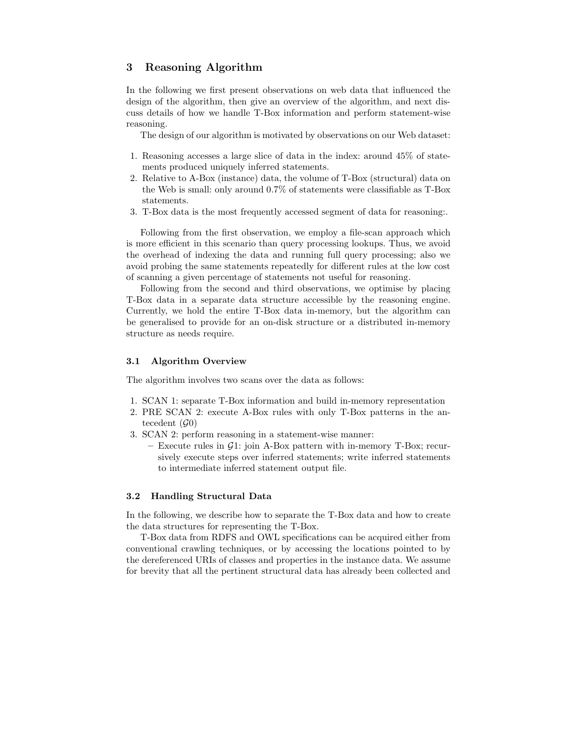### 3 Reasoning Algorithm

In the following we first present observations on web data that influenced the design of the algorithm, then give an overview of the algorithm, and next discuss details of how we handle T-Box information and perform statement-wise reasoning.

The design of our algorithm is motivated by observations on our Web dataset:

- 1. Reasoning accesses a large slice of data in the index: around 45% of statements produced uniquely inferred statements.
- 2. Relative to A-Box (instance) data, the volume of T-Box (structural) data on the Web is small: only around 0.7% of statements were classifiable as T-Box statements.
- 3. T-Box data is the most frequently accessed segment of data for reasoning:.

Following from the first observation, we employ a file-scan approach which is more efficient in this scenario than query processing lookups. Thus, we avoid the overhead of indexing the data and running full query processing; also we avoid probing the same statements repeatedly for different rules at the low cost of scanning a given percentage of statements not useful for reasoning.

Following from the second and third observations, we optimise by placing T-Box data in a separate data structure accessible by the reasoning engine. Currently, we hold the entire T-Box data in-memory, but the algorithm can be generalised to provide for an on-disk structure or a distributed in-memory structure as needs require.

#### 3.1 Algorithm Overview

The algorithm involves two scans over the data as follows:

- 1. SCAN 1: separate T-Box information and build in-memory representation
- 2. PRE SCAN 2: execute A-Box rules with only T-Box patterns in the antecedent  $(\mathcal{G}_0)$
- 3. SCAN 2: perform reasoning in a statement-wise manner:
	- Execute rules in  $\mathcal{G}1$ : join A-Box pattern with in-memory T-Box; recursively execute steps over inferred statements; write inferred statements to intermediate inferred statement output file.

#### 3.2 Handling Structural Data

In the following, we describe how to separate the T-Box data and how to create the data structures for representing the T-Box.

T-Box data from RDFS and OWL specifications can be acquired either from conventional crawling techniques, or by accessing the locations pointed to by the dereferenced URIs of classes and properties in the instance data. We assume for brevity that all the pertinent structural data has already been collected and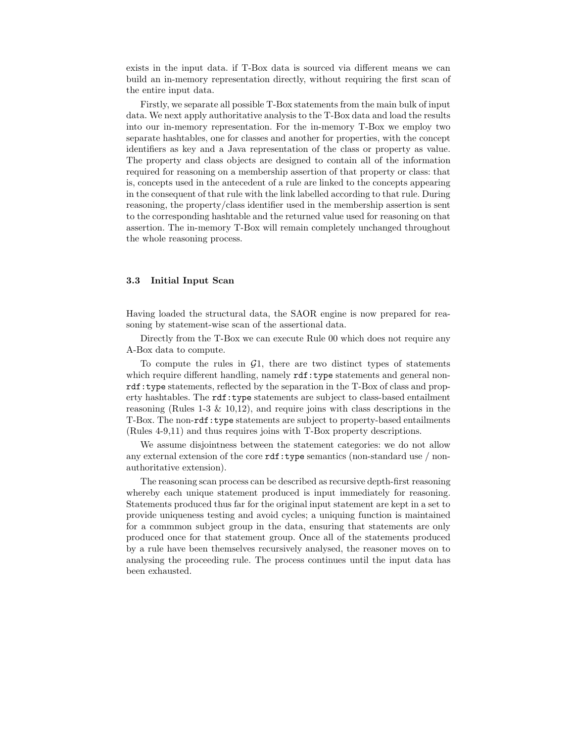exists in the input data. if T-Box data is sourced via different means we can build an in-memory representation directly, without requiring the first scan of the entire input data.

Firstly, we separate all possible T-Box statements from the main bulk of input data. We next apply authoritative analysis to the T-Box data and load the results into our in-memory representation. For the in-memory T-Box we employ two separate hashtables, one for classes and another for properties, with the concept identifiers as key and a Java representation of the class or property as value. The property and class objects are designed to contain all of the information required for reasoning on a membership assertion of that property or class: that is, concepts used in the antecedent of a rule are linked to the concepts appearing in the consequent of that rule with the link labelled according to that rule. During reasoning, the property/class identifier used in the membership assertion is sent to the corresponding hashtable and the returned value used for reasoning on that assertion. The in-memory T-Box will remain completely unchanged throughout the whole reasoning process.

#### 3.3 Initial Input Scan

Having loaded the structural data, the SAOR engine is now prepared for reasoning by statement-wise scan of the assertional data.

Directly from the T-Box we can execute Rule 00 which does not require any A-Box data to compute.

To compute the rules in  $\mathcal{G}_1$ , there are two distinct types of statements which require different handling, namely  $\texttt{rdf:type}$  statements and general nonrdf:type statements, reflected by the separation in the T-Box of class and property hashtables. The rdf:type statements are subject to class-based entailment reasoning (Rules 1-3  $\&$  10,12), and require joins with class descriptions in the T-Box. The non-rdf:type statements are subject to property-based entailments (Rules 4-9,11) and thus requires joins with T-Box property descriptions.

We assume disjointness between the statement categories: we do not allow any external extension of the core  $\texttt{rdf:type}$  semantics (non-standard use / nonauthoritative extension).

The reasoning scan process can be described as recursive depth-first reasoning whereby each unique statement produced is input immediately for reasoning. Statements produced thus far for the original input statement are kept in a set to provide uniqueness testing and avoid cycles; a uniquing function is maintained for a commmon subject group in the data, ensuring that statements are only produced once for that statement group. Once all of the statements produced by a rule have been themselves recursively analysed, the reasoner moves on to analysing the proceeding rule. The process continues until the input data has been exhausted.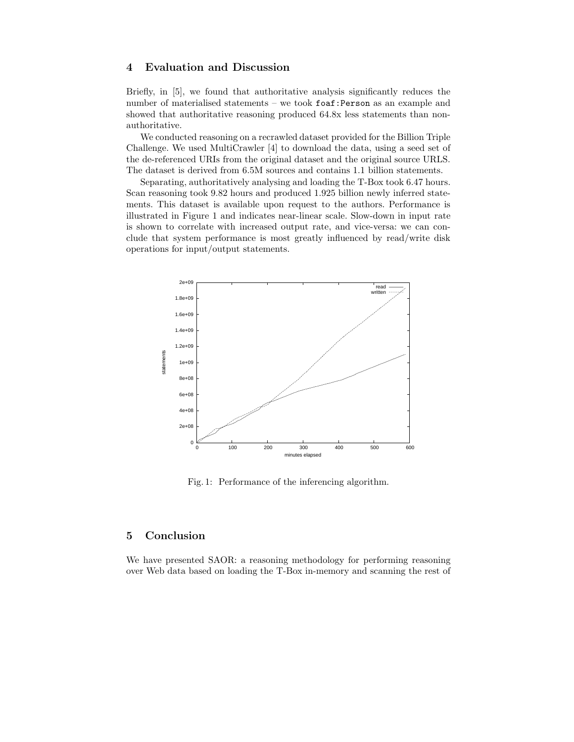## 4 Evaluation and Discussion

Briefly, in [5], we found that authoritative analysis significantly reduces the number of materialised statements – we took foaf:Person as an example and showed that authoritative reasoning produced 64.8x less statements than nonauthoritative.

We conducted reasoning on a recrawled dataset provided for the Billion Triple Challenge. We used MultiCrawler [4] to download the data, using a seed set of the de-referenced URIs from the original dataset and the original source URLS. The dataset is derived from 6.5M sources and contains 1.1 billion statements.

Separating, authoritatively analysing and loading the T-Box took 6.47 hours. Scan reasoning took 9.82 hours and produced 1.925 billion newly inferred statements. This dataset is available upon request to the authors. Performance is illustrated in Figure 1 and indicates near-linear scale. Slow-down in input rate is shown to correlate with increased output rate, and vice-versa: we can conclude that system performance is most greatly influenced by read/write disk operations for input/output statements.



Fig. 1: Performance of the inferencing algorithm.

# 5 Conclusion

We have presented SAOR: a reasoning methodology for performing reasoning over Web data based on loading the T-Box in-memory and scanning the rest of